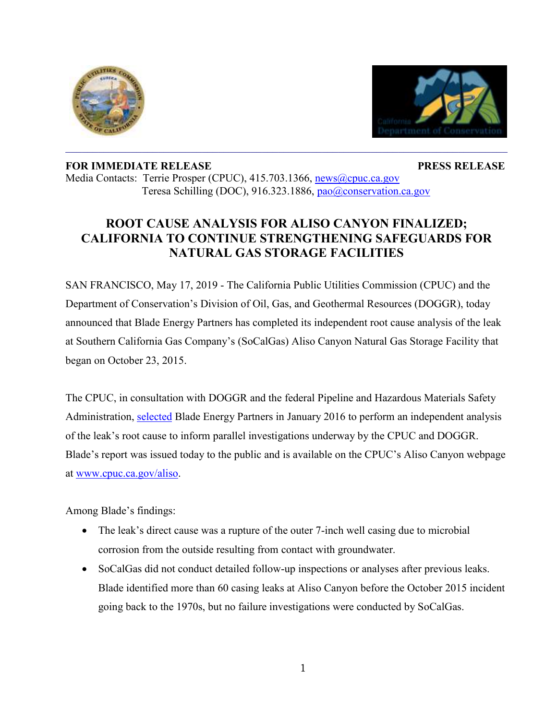



## **FOR IMMEDIATE RELEASE PRESS RELEASE** Media Contacts: Terrie Prosper (CPUC), 415.703.1366, [news@cpuc.ca.gov](mailto:news@cpuc.ca.gov) Teresa Schilling (DOC), 916.323.1886, [pao@conservation.ca.gov](mailto:pao@conservation.ca.gov)

## **ROOT CAUSE ANALYSIS FOR ALISO CANYON FINALIZED; CALIFORNIA TO CONTINUE STRENGTHENING SAFEGUARDS FOR NATURAL GAS STORAGE FACILITIES**

 $\mathcal{L}_\mathcal{L} = \mathcal{L}_\mathcal{L} = \mathcal{L}_\mathcal{L} = \mathcal{L}_\mathcal{L} = \mathcal{L}_\mathcal{L} = \mathcal{L}_\mathcal{L} = \mathcal{L}_\mathcal{L} = \mathcal{L}_\mathcal{L} = \mathcal{L}_\mathcal{L} = \mathcal{L}_\mathcal{L} = \mathcal{L}_\mathcal{L} = \mathcal{L}_\mathcal{L} = \mathcal{L}_\mathcal{L} = \mathcal{L}_\mathcal{L} = \mathcal{L}_\mathcal{L} = \mathcal{L}_\mathcal{L} = \mathcal{L}_\mathcal{L}$ 

SAN FRANCISCO, May 17, 2019 - The California Public Utilities Commission (CPUC) and the Department of Conservation's Division of Oil, Gas, and Geothermal Resources (DOGGR), today announced that Blade Energy Partners has completed its independent root cause analysis of the leak at Southern California Gas Company's (SoCalGas) Aliso Canyon Natural Gas Storage Facility that began on October 23, 2015.

The CPUC, in consultation with DOGGR and the federal Pipeline and Hazardous Materials Safety Administration, [selected](http://www.cpuc.ca.gov/uploadedFiles/CPUC_Public_Website/Content/News_Room/News_and_Updates/SED%20Letter%20to%20SoCal%20on%20RCA%20Selection%20FINAL.pdf) Blade Energy Partners in January 2016 to perform an independent analysis of the leak's root cause to inform parallel investigations underway by the CPUC and DOGGR. Blade's report was issued today to the public and is available on the CPUC's Aliso Canyon webpage at [www.cpuc.ca.gov/aliso.](http://www.cpuc.ca.gov/aliso)

Among Blade's findings:

- The leak's direct cause was a rupture of the outer 7-inch well casing due to microbial corrosion from the outside resulting from contact with groundwater.
- SoCalGas did not conduct detailed follow-up inspections or analyses after previous leaks. Blade identified more than 60 casing leaks at Aliso Canyon before the October 2015 incident going back to the 1970s, but no failure investigations were conducted by SoCalGas.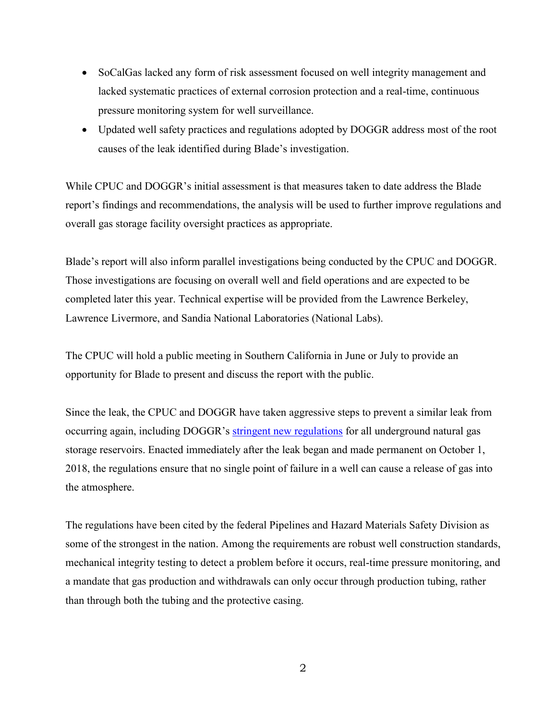- SoCalGas lacked any form of risk assessment focused on well integrity management and lacked systematic practices of external corrosion protection and a real-time, continuous pressure monitoring system for well surveillance.
- Updated well safety practices and regulations adopted by DOGGR address most of the root causes of the leak identified during Blade's investigation.

While CPUC and DOGGR's initial assessment is that measures taken to date address the Blade report's findings and recommendations, the analysis will be used to further improve regulations and overall gas storage facility oversight practices as appropriate.

Blade's report will also inform parallel investigations being conducted by the CPUC and DOGGR. Those investigations are focusing on overall well and field operations and are expected to be completed later this year. Technical expertise will be provided from the Lawrence Berkeley, Lawrence Livermore, and Sandia National Laboratories (National Labs).

The CPUC will hold a public meeting in Southern California in June or July to provide an opportunity for Blade to present and discuss the report with the public.

Since the leak, the CPUC and DOGGR have taken aggressive steps to prevent a similar leak from occurring again, including DOGGR's [stringent new regulations](https://www.conservation.ca.gov/dog/Pages/UndergroundGasStorage.aspx) for all underground natural gas storage reservoirs. Enacted immediately after the leak began and made permanent on October 1, 2018, the regulations ensure that no single point of failure in a well can cause a release of gas into the atmosphere.

The regulations have been cited by the federal Pipelines and Hazard Materials Safety Division as some of the strongest in the nation. Among the requirements are robust well construction standards, mechanical integrity testing to detect a problem before it occurs, real-time pressure monitoring, and a mandate that gas production and withdrawals can only occur through production tubing, rather than through both the tubing and the protective casing.